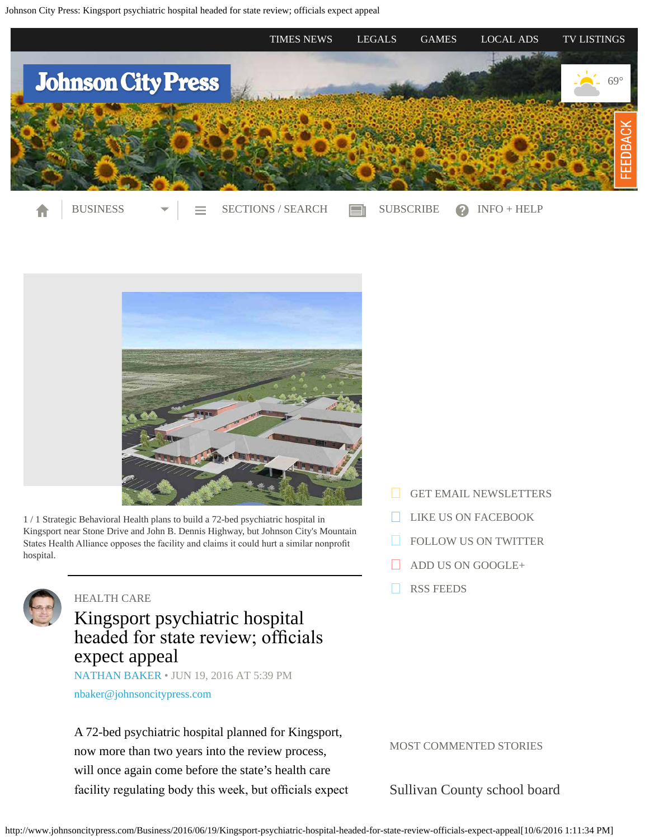<span id="page-0-0"></span>

[Contributed](http://www.johnsoncitypress.com/mediaFiles?type=image&url=/image/2016/06/19/SBC-Kingsport.jpg&caption=Strategic%20Behavioral%20Health%20plans%20to%20build%20a%2072-bed%20psychiatric%20hospital%20in%20Kingsport%20near%20Stone%20Drive%20and%20John%20B.%20Dennis%20Highway,%20but%20Johnson%20City) by the contribution

1 / 1 Strategic Behavioral Health plans to build a 72-bed psychiatric hospital in Kingsport near Stone Drive and John B. Dennis Highway, but Johnson City's Mountain States Health Alliance opposes the facility and claims it could hurt a similar nonproft hospital.



### [HEALTH CARE](http://www.johnsoncitypress.com/tags/health-care)

# Kingsport psychiatric hospital headed for state review; officials expect appeal

[NATHAN BAKER](http://www.johnsoncitypress.com/authors?user=nathan%20baker) • JUN 19, 2016 AT 5:39 PM

[nbaker@johnsoncitypress.com](mailto:nbaker@johnsoncitypress.com)

A 72-bed psychiatric hospital planned for Kingsport, now more than two years into the review process, will once again come before the state's health care facility regulating body this week, but officials expect [GET EMAIL NEWSLETTERS](https://2.dat-e-baseonline.com/front/deb.asp?action=Reg&zx=356)

- [LIKE US ON FACEBOOK](https://www.facebook.com/JohnsonCityPress)
- [FOLLOW US ON TWITTER](https://twitter.com/JCPress)
- [ADD US ON GOOGLE+](https://plus.google.com/105087023408942878762/about)
- [RSS FEEDS](http://www.johnsoncitypress.com/feed)

MOST COMMENTED STORIES

[Sullivan County school board](http://www.johnsoncitypress.com/Education/2016/10/04/Ireson-calls-for-removal-of-Pearson-seventh-grade-history-text-from-Sullivan-schools?ci=mostcommented&lp=1)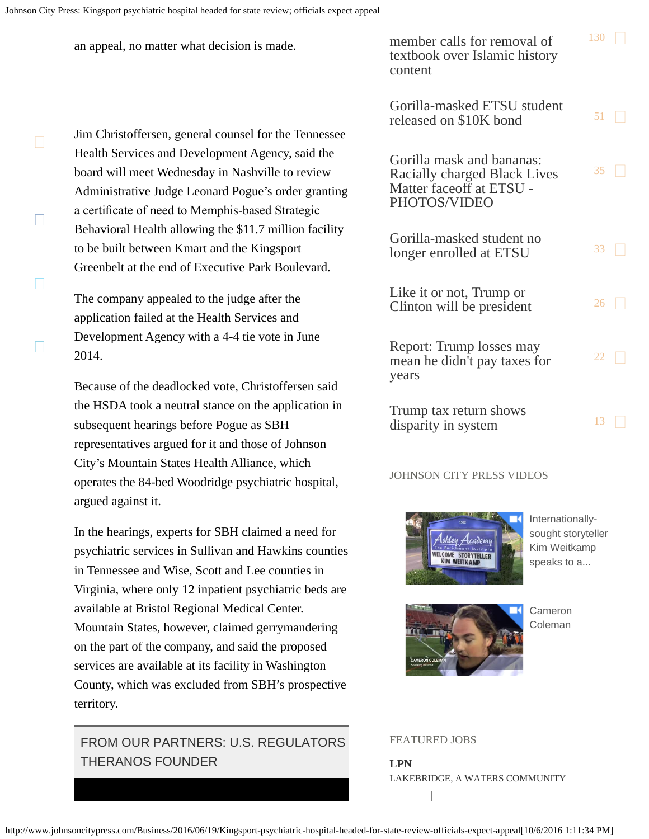City's Mountain States Health Alliance, which

argued against it.

territory.

THERANOS FOUNDER

operates the 84-bed Woodridge psychiatric hospital,

In the hearings, experts for SBH claimed a need for psychiatric services in Sullivan and Hawkins counties

in Tennessee and Wise, Scott and Lee counties in

available at Bristol Regional Medical Center.

Virginia, where only 12 inpatient psychiatric beds are

Mountain States, however, claimed gerrymandering on the part of the company, and said the proposed services are available at its facility in Washington

County, which was excluded from SBH's prospective

FROM OUR PARTNERS: U.S. REGULATORS

П

П

 $\Box$ 

| an appeal, no matter what decision is made.                                                                                                                                                                     | member calls for removal of<br>textbook over Islamic history<br>content                               | 130       |      |
|-----------------------------------------------------------------------------------------------------------------------------------------------------------------------------------------------------------------|-------------------------------------------------------------------------------------------------------|-----------|------|
| Jim Christoffersen, general counsel for the Tennessee                                                                                                                                                           | Gorilla-masked ETSU student<br>released on \$10K bond                                                 | $51 \mid$ |      |
| Health Services and Development Agency, said the<br>board will meet Wednesday in Nashville to review<br>Administrative Judge Leonard Pogue's order granting<br>a certificate of need to Memphis-based Strategic | Gorilla mask and bananas:<br>Racially charged Black Lives<br>Matter faceoff at ETSU -<br>PHOTOS/VIDEO | 35        | I.   |
| Behavioral Health allowing the \$11.7 million facility<br>to be built between Kmart and the Kingsport<br>Greenbelt at the end of Executive Park Boulevard.                                                      | Gorilla-masked student no<br>longer enrolled at ETSU                                                  | 33        | I.   |
| The company appealed to the judge after the<br>application failed at the Health Services and                                                                                                                    | Like it or not, Trump or<br>Clinton will be president                                                 | 26        | 11   |
| Development Agency with a 4-4 tie vote in June<br>2014.                                                                                                                                                         | Report: Trump losses may<br>mean he didn't pay taxes for<br>years                                     | 22        | n    |
| Because of the deadlocked vote, Christoffersen said<br>the HSDA took a neutral stance on the application in<br>subsequent hearings before Pogue as SBH<br>representatives argued for it and those of Johnson    | Trump tax return shows<br>disparity in system                                                         | 13        | a ka |

### JOHNSON CITY PRESS VIDEOS



[Internationally](http://videos.johnsoncitypress.com/johnsoncitypress/svr41c?v=autoplay_postroll&e=e0018&opn=right_rail_embed)[sought storyteller](http://videos.johnsoncitypress.com/johnsoncitypress/svr41c?v=autoplay_postroll&e=e0018&opn=right_rail_embed) [Kim Weitkamp](http://videos.johnsoncitypress.com/johnsoncitypress/svr41c?v=autoplay_postroll&e=e0018&opn=right_rail_embed) [speaks to a...](http://videos.johnsoncitypress.com/johnsoncitypress/svr41c?v=autoplay_postroll&e=e0018&opn=right_rail_embed)



[Cameron](http://videos.johnsoncitypress.com/johnsoncitypress/k0popu?v=autoplay_postroll&e=e0018&opn=right_rail_embed) [Coleman](http://videos.johnsoncitypress.com/johnsoncitypress/k0popu?v=autoplay_postroll&e=e0018&opn=right_rail_embed)

### FEATURED JOBS

I.

**LPN** LAKEBRIDGE, A WATERS COMMUNITY

http://www.johnsoncitypress.com/Business/2016/06/19/Kingsport-psychiatric-hospital-headed-for-state-review-officials-expect-appeal[10/6/2016 1:11:34 PM]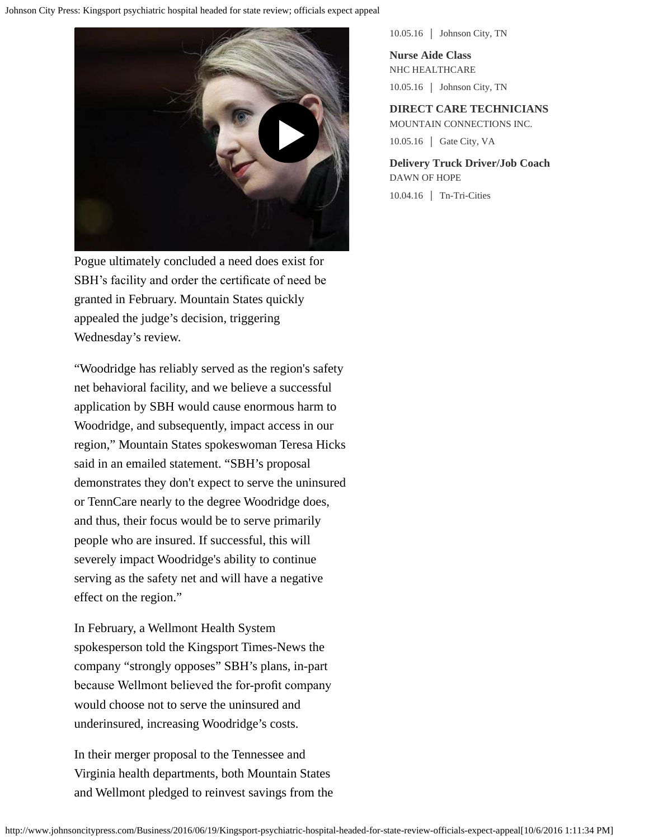

Pogue ultimately concluded a need does exist for SBH's facility and order the certifcate of need be granted in February. Mountain States quickly appealed the judge's decision, triggering Wednesday's review.

"Woodridge has reliably served as the region's safety net behavioral facility, and we believe a successful application by SBH would cause enormous harm to Woodridge, and subsequently, impact access in our region," Mountain States spokeswoman Teresa Hicks said in an emailed statement. "SBH's proposal demonstrates they don't expect to serve the uninsured or TennCare nearly to the degree Woodridge does, and thus, their focus would be to serve primarily people who are insured. If successful, this will severely impact Woodridge's ability to continue serving as the safety net and will have a negative effect on the region."

In February, a Wellmont Health System spokesperson told the Kingsport Times-News the company "strongly opposes" SBH's plans, in-part because Wellmont believed the for-proft company would choose not to serve the uninsured and underinsured, increasing Woodridge's costs.

In their merger proposal to the Tennessee and Virginia health departments, both Mountain States and Wellmont pledged to reinvest savings from the 10.05.16 Johnson City, TN

**Nurse Aide Class** NHC HEALTHCARE 10.05.16 Johnson City, TN

**DIRECT CARE TECHNICIANS** MOUNTAIN CONNECTIONS INC. 10.05.16 Gate City, VA

**Delivery Truck Driver/Job Coach** DAWN OF HOPE 10.04.16 Tn-Tri-Cities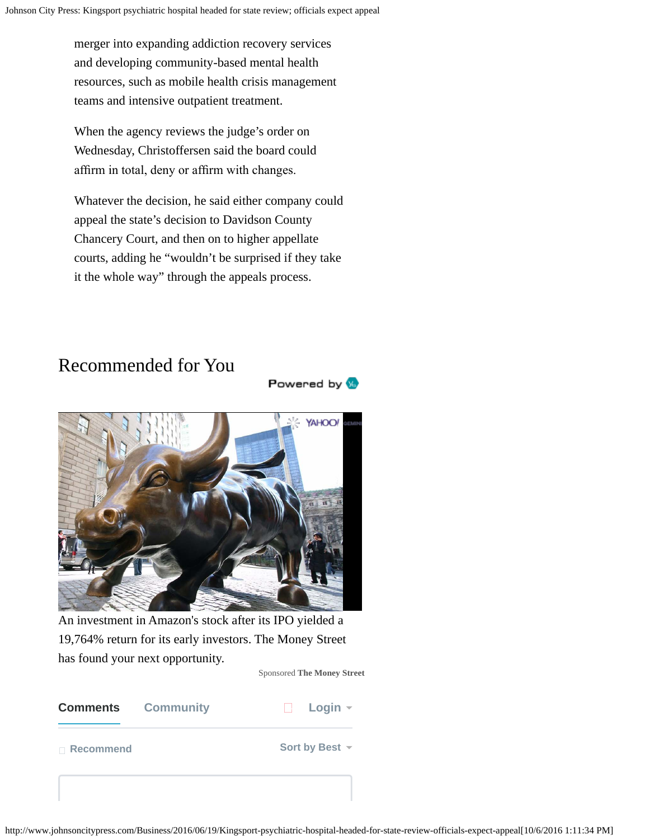merger into expanding addiction recovery services and developing community-based mental health resources, such as mobile health crisis management teams and intensive outpatient treatment.

When the agency reviews the judge's order on Wednesday, Christoffersen said the board could affrm in total, deny or affrm with changes.

Whatever the decision, he said either company could appeal the state's decision to Davidson County Chancery Court, and then on to higher appellate courts, adding he "wouldn't be surprised if they take it the whole way" through the appeals process.

# Recommended for You



An investment in Amazon's stock after its IPO yielded a 19,764% return for its early investors. The Money Street has found your next opportunity.

Sponsored **The Money Street**

Powered by **W** 

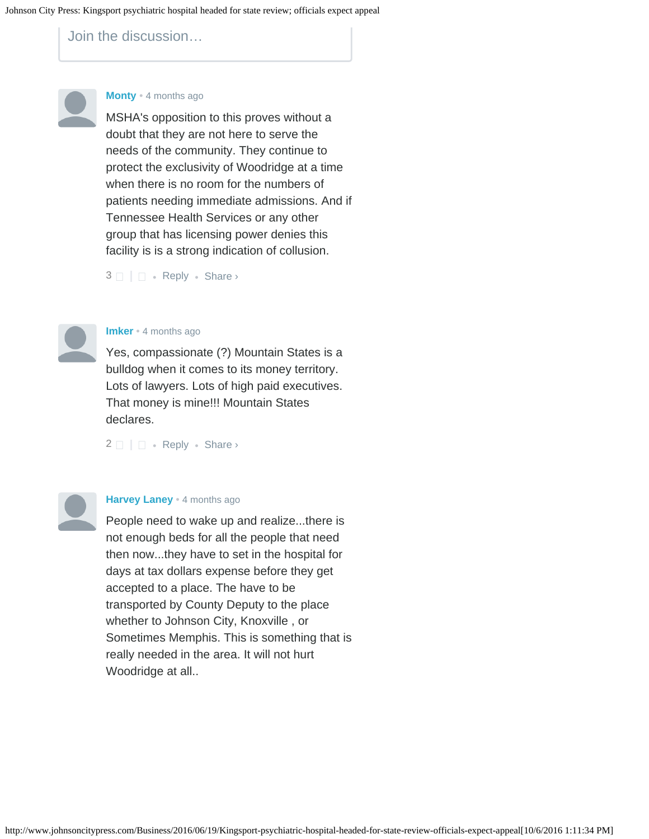Join the discussion…



### **[Monty](https://disqus.com/by/disqus_56W6bXni4w/)** • [4 months ago](#page-0-0)

MSHA's opposition to this proves without a doubt that they are not here to serve the needs of the community. They continue to protect the exclusivity of Woodridge at a time when there is no room for the numbers of patients needing immediate admissions. And if Tennessee Health Services or any other group that has licensing power denies this facility is is a strong indication of collusion.

 $3 \Box \Box$  $3 \Box \Box$  • [Reply](http://disqus.com/embed/comments/?base=default&version=451b054ca2771ef5448b21578a611652&f=sngjohnsoncitypress&t_i=%2FBusiness%2F2016%2F06%2F19%2FKingsport-psychiatric-hospital-headed-for-state-review-officials-expect-appeal&t_u=http%3A%2F%2Fwww.johnsoncitypress.com%2FBusiness%2F2016%2F06%2F19%2FKingsport-psychiatric-hospital-headed-for-state-review-officials-expect-appeal&t_d=Kingsport%20psychiatric%20hospital%20headed%20for%20state%20review%3B%20officials%20expect%20appeal&t_t=Kingsport%20psychiatric%20hospital%20headed%20for%20state%20review%3B%20officials%20expect%20appeal&s_o=default?AcrobatWebCapTID1#) • Share ›



#### **[Imker](https://disqus.com/by/imker/)** • [4 months ago](#page-0-0)

Yes, compassionate (?) Mountain States is a bulldog when it comes to its money territory. Lots of lawyers. Lots of high paid executives. That money is mine!!! Mountain States declares.

 $2 \Box$  $2 \Box$   $\Box$  • [Reply](http://disqus.com/embed/comments/?base=default&version=451b054ca2771ef5448b21578a611652&f=sngjohnsoncitypress&t_i=%2FBusiness%2F2016%2F06%2F19%2FKingsport-psychiatric-hospital-headed-for-state-review-officials-expect-appeal&t_u=http%3A%2F%2Fwww.johnsoncitypress.com%2FBusiness%2F2016%2F06%2F19%2FKingsport-psychiatric-hospital-headed-for-state-review-officials-expect-appeal&t_d=Kingsport%20psychiatric%20hospital%20headed%20for%20state%20review%3B%20officials%20expect%20appeal&t_t=Kingsport%20psychiatric%20hospital%20headed%20for%20state%20review%3B%20officials%20expect%20appeal&s_o=default?AcrobatWebCapTID1#) • Share ›



#### **[Harvey Laney](https://disqus.com/by/harveylaney/)** • [4 months ago](#page-0-0)

People need to wake up and realize...there is not enough beds for all the people that need then now...they have to set in the hospital for days at tax dollars expense before they get accepted to a place. The have to be transported by County Deputy to the place whether to Johnson City, Knoxville , or Sometimes Memphis. This is something that is really needed in the area. It will not hurt Woodridge at all..